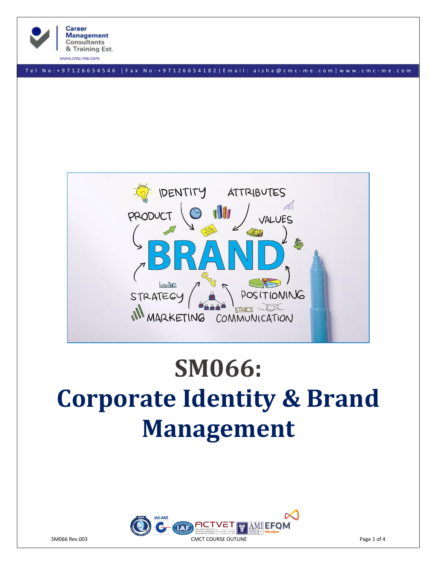

www.cmc-me.com

T e l N o : + 97126654546 | F a x N o : + 9 7 1 2 6 6 5 4 1 8 2 | E m a i l : a i s h a @ c m c - m e . c o m | w w w . c m c - m e . c o m



# **SM066: Corporate Identity & Brand Management**

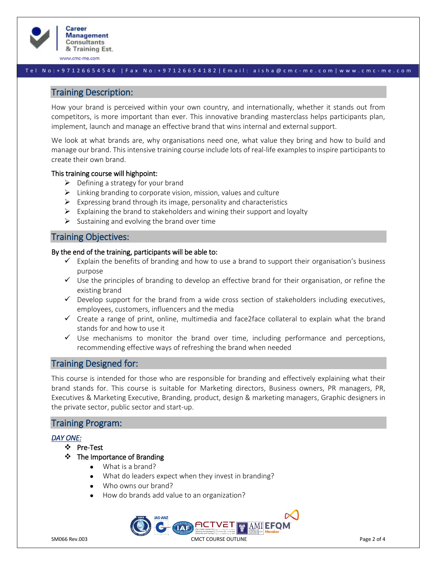

www.cmc-me.com

## T e l N o : + 97126654546 | F a x N o : + 9 7 1 2 6 6 5 4 1 8 2 | E m a i l : a i s h a @ c m c - m e . c o m | w w w . c m c - m e . c o m

# Training Description:

How your brand is perceived within your own country, and internationally, whether it stands out from competitors, is more important than ever. This innovative branding masterclass helps participants plan, implement, launch and manage an effective brand that wins internal and external support.

We look at what brands are, why organisations need one, what value they bring and how to build and manage our brand. This intensive training course include lots of real-life examples to inspire participants to create their own brand.

## This training course will highpoint:

- $\triangleright$  Defining a strategy for your brand
- $\triangleright$  Linking branding to corporate vision, mission, values and culture
- $\triangleright$  Expressing brand through its image, personality and characteristics
- $\triangleright$  Explaining the brand to stakeholders and wining their support and loyalty
- $\triangleright$  Sustaining and evolving the brand over time

# Training Objectives:

## By the end of the training, participants will be able to:

- $\checkmark$  Explain the benefits of branding and how to use a brand to support their organisation's business purpose
- $\checkmark$  Use the principles of branding to develop an effective brand for their organisation, or refine the existing brand
- $\checkmark$  Develop support for the brand from a wide cross section of stakeholders including executives, employees, customers, influencers and the media
- $\checkmark$  Create a range of print, online, multimedia and face2face collateral to explain what the brand stands for and how to use it
- $\checkmark$  Use mechanisms to monitor the brand over time, including performance and perceptions, recommending effective ways of refreshing the brand when needed

# Training Designed for:

This course is intended for those who are responsible for branding and effectively explaining what their brand stands for. This course is suitable for Marketing directors, Business owners, PR managers, PR, Executives & Marketing Executive, Branding, product, design & marketing managers, Graphic designers in the private sector, public sector and start-up.

# Training Program:

## *DAY ONE:*

- ❖ Pre-Test
- ❖ The Importance of Branding
	- What is a brand?
	- What do leaders expect when they invest in branding?
	- Who owns our brand?
	- How do brands add value to an organization?

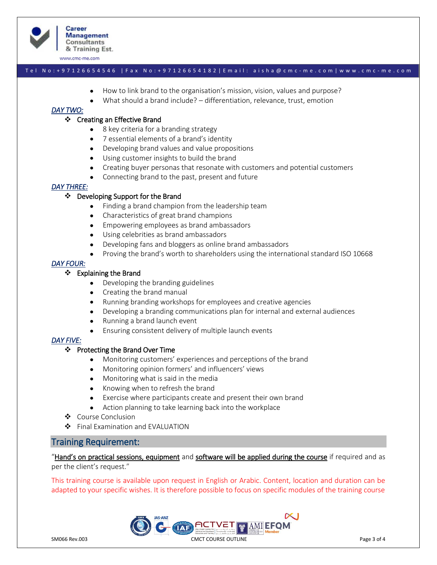

**Career Management Consultants** & Training Est.

www.cmc-me.com

### T e l N o : + 97126654546 | F a x N o : + 9 7 1 2 6 6 5 4 1 8 2 | E m a i l : a i s h a @ c m c - m e . c o m | w w w . c m c - m e . c o m

- How to link brand to the organisation's mission, vision, values and purpose?
- What should a brand include? differentiation, relevance, trust, emotion

# *DAY TWO:*

## ❖ Creating an Effective Brand

- 8 key criteria for a branding strategy
- 7 essential elements of a brand's identity
- Developing brand values and value propositions
- Using customer insights to build the brand
- Creating buyer personas that resonate with customers and potential customers
- Connecting brand to the past, present and future

## *DAY THREE:*

## ❖ Developing Support for the Brand

- Finding a brand champion from the leadership team
- Characteristics of great brand champions
- Empowering employees as brand ambassadors
- Using celebrities as brand ambassadors
- Developing fans and bloggers as online brand ambassadors
- Proving the brand's worth to shareholders using the international standard ISO 10668

## *DAY FOUR:*

## ❖ Explaining the Brand

- Developing the branding guidelines
- Creating the brand manual
- Running branding workshops for employees and creative agencies
- Developing a branding communications plan for internal and external audiences
- Running a brand launch event
- Ensuring consistent delivery of multiple launch events

#### *DAY FIVE:*

#### ❖ Protecting the Brand Over Time

- Monitoring customers' experiences and perceptions of the brand
- Monitoring opinion formers' and influencers' views
- Monitoring what is said in the media
- Knowing when to refresh the brand
- Exercise where participants create and present their own brand
- Action planning to take learning back into the workplace
- ❖ Course Conclusion
- ❖ Final Examination and EVALUATION

# Training Requirement:

"Hand's on practical sessions, equipment and software will be applied during the course if required and as per the client's request."

This training course is available upon request in English or Arabic. Content, location and duration can be adapted to your specific wishes. It is therefore possible to focus on specific modules of the training course